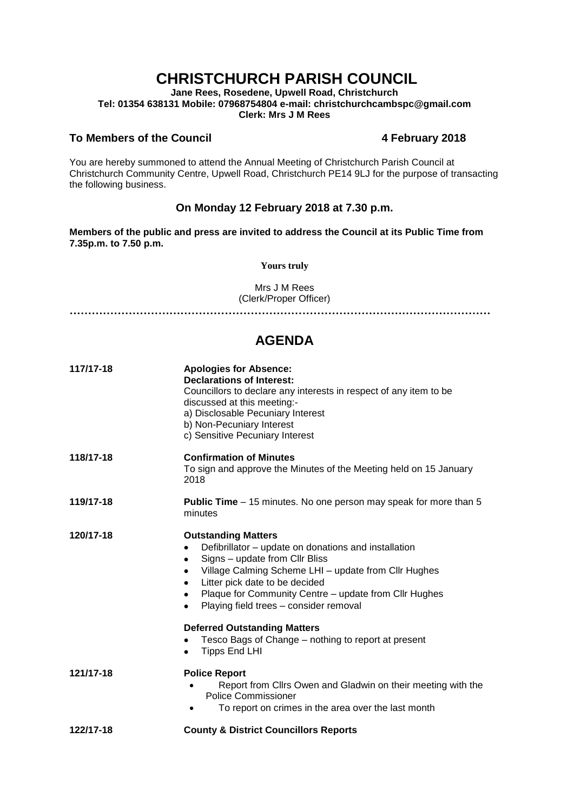# **CHRISTCHURCH PARISH COUNCIL**

**Jane Rees, Rosedene, Upwell Road, Christchurch Tel: 01354 638131 Mobile: 07968754804 e-mail: christchurchcambspc@gmail.com Clerk: Mrs J M Rees**

### **To Members of the Council 4 February 2018**

You are hereby summoned to attend the Annual Meeting of Christchurch Parish Council at Christchurch Community Centre, Upwell Road, Christchurch PE14 9LJ for the purpose of transacting the following business.

## **On Monday 12 February 2018 at 7.30 p.m.**

**Members of the public and press are invited to address the Council at its Public Time from 7.35p.m. to 7.50 p.m.** 

**Yours truly**

Mrs J M Rees (Clerk/Proper Officer)

**……………………………………………………………………………………………………**

## **AGENDA**

| 117/17-18 | <b>Apologies for Absence:</b><br><b>Declarations of Interest:</b><br>Councillors to declare any interests in respect of any item to be<br>discussed at this meeting:-<br>a) Disclosable Pecuniary Interest<br>b) Non-Pecuniary Interest<br>c) Sensitive Pecuniary Interest                                                                                                         |
|-----------|------------------------------------------------------------------------------------------------------------------------------------------------------------------------------------------------------------------------------------------------------------------------------------------------------------------------------------------------------------------------------------|
| 118/17-18 | <b>Confirmation of Minutes</b><br>To sign and approve the Minutes of the Meeting held on 15 January<br>2018                                                                                                                                                                                                                                                                        |
| 119/17-18 | <b>Public Time</b> – 15 minutes. No one person may speak for more than 5<br>minutes                                                                                                                                                                                                                                                                                                |
| 120/17-18 | <b>Outstanding Matters</b><br>Defibrillator - update on donations and installation<br>$\bullet$<br>Signs - update from Cllr Bliss<br>Village Calming Scheme LHI - update from Cllr Hughes<br>$\bullet$<br>Litter pick date to be decided<br>$\bullet$<br>Plaque for Community Centre - update from Cllr Hughes<br>$\bullet$<br>Playing field trees - consider removal<br>$\bullet$ |
|           | <b>Deferred Outstanding Matters</b><br>Tesco Bags of Change – nothing to report at present<br><b>Tipps End LHI</b>                                                                                                                                                                                                                                                                 |
| 121/17-18 | <b>Police Report</b><br>Report from Cllrs Owen and Gladwin on their meeting with the<br><b>Police Commissioner</b><br>To report on crimes in the area over the last month                                                                                                                                                                                                          |
| 122/17-18 | <b>County &amp; District Councillors Reports</b>                                                                                                                                                                                                                                                                                                                                   |